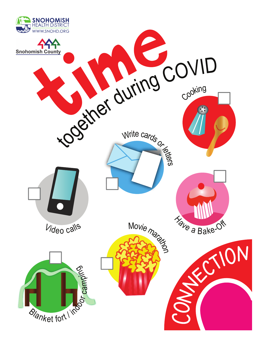